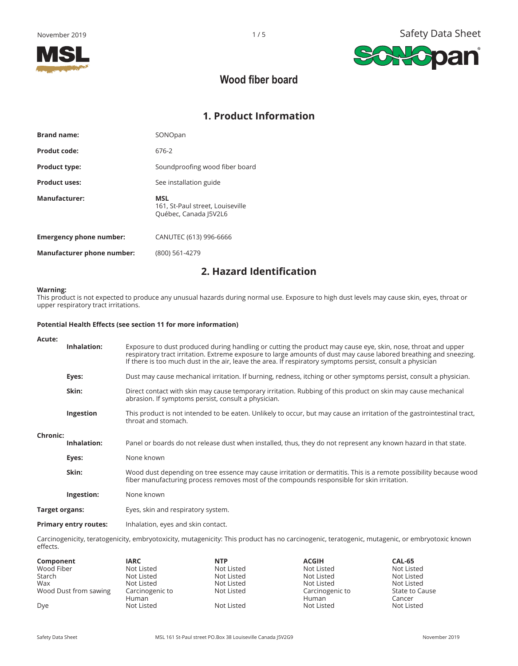

**Hopan** 

SA



# **Wood fiber board**

# **1. Product Information**

| <b>Brand name:</b>             | SONOpan                                                                 |
|--------------------------------|-------------------------------------------------------------------------|
| Produt code:                   | 676-2                                                                   |
| <b>Product type:</b>           | Soundproofing wood fiber board                                          |
| <b>Product uses:</b>           | See installation guide                                                  |
| Manufacturer:                  | <b>MSL</b><br>161, St-Paul street, Louiseville<br>Québec, Canada J5V2L6 |
| <b>Emergency phone number:</b> | CANUTEC (613) 996-6666                                                  |
| Manufacturer phone number:     | (800) 561-4279                                                          |
|                                |                                                                         |

# **2. Hazard Identification**

#### **Warning:**

This product is not expected to produce any unusual hazards during normal use. Exposure to high dust levels may cause skin, eyes, throat or upper respiratory tract irritations.

#### **Potential Health Effects (see section 11 for more information)**

| Acute:          |                              |                                                                                                                                                                                                                                                                                                                                                 |
|-----------------|------------------------------|-------------------------------------------------------------------------------------------------------------------------------------------------------------------------------------------------------------------------------------------------------------------------------------------------------------------------------------------------|
|                 | Inhalation:                  | Exposure to dust produced during handling or cutting the product may cause eye, skin, nose, throat and upper<br>respiratory tract irritation. Extreme exposure to large amounts of dust may cause labored breathing and sneezing.<br>If there is too much dust in the air, leave the area. If respiratory symptoms persist, consult a physician |
|                 | Eyes:                        | Dust may cause mechanical irritation. If burning, redness, itching or other symptoms persist, consult a physician.                                                                                                                                                                                                                              |
|                 | Skin:                        | Direct contact with skin may cause temporary irritation. Rubbing of this product on skin may cause mechanical<br>abrasion. If symptoms persist, consult a physician.                                                                                                                                                                            |
|                 | Ingestion                    | This product is not intended to be eaten. Unlikely to occur, but may cause an irritation of the gastrointestinal tract,<br>throat and stomach.                                                                                                                                                                                                  |
| <b>Chronic:</b> |                              |                                                                                                                                                                                                                                                                                                                                                 |
|                 | Inhalation:                  | Panel or boards do not release dust when installed, thus, they do not represent any known hazard in that state.                                                                                                                                                                                                                                 |
|                 | Eyes:                        | None known                                                                                                                                                                                                                                                                                                                                      |
|                 | Skin:                        | Wood dust depending on tree essence may cause irritation or dermatitis. This is a remote possibility because wood<br>fiber manufacturing process removes most of the compounds responsible for skin irritation.                                                                                                                                 |
|                 | Ingestion:                   | None known                                                                                                                                                                                                                                                                                                                                      |
| Target organs:  |                              | Eyes, skin and respiratory system.                                                                                                                                                                                                                                                                                                              |
|                 | <b>Primary entry routes:</b> | Inhalation, eyes and skin contact.                                                                                                                                                                                                                                                                                                              |

Carcinogenicity, teratogenicity, embryotoxicity, mutagenicity: This product has no carcinogenic, teratogenic, mutagenic, or embryotoxic known effects.

| Component             | <b>IARC</b>     | <b>NTP</b> | <b>ACGIH</b>    | CAL-65         |
|-----------------------|-----------------|------------|-----------------|----------------|
| Wood Fiber            | Not Listed      | Not Listed | Not Listed      | Not Listed     |
| Starch                | Not Listed      | Not Listed | Not Listed      | Not Listed     |
| Wax                   | Not Listed      | Not Listed | Not Listed      | Not Listed     |
| Wood Dust from sawing | Carcinogenic to | Not Listed | Carcinogenic to | State to Cause |
|                       | Human           |            | Human           | Cancer         |
| Dye                   | Not Listed      | Not Listed | Not Listed      | Not Listed     |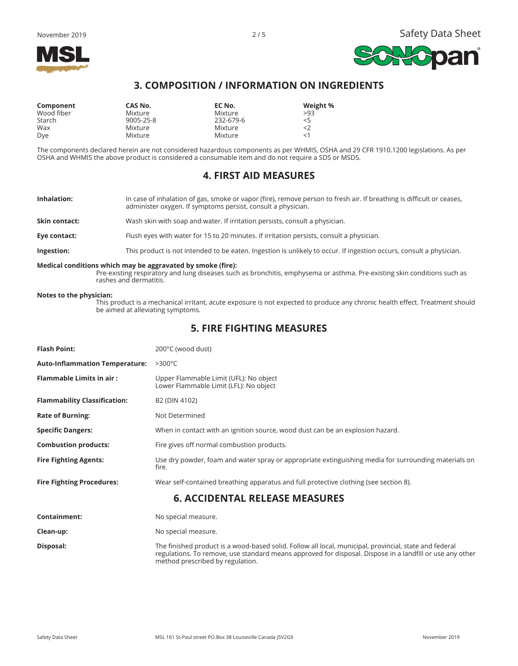

### **3. COMPOSITION / INFORMATION ON INGREDIENTS**

| Component  | CAS No.   | EC No.    | Weight % |
|------------|-----------|-----------|----------|
| Wood fiber | Mixture   | Mixture   | >93      |
| Starch     | 9005-25-8 | 232-679-6 | 5        |
| Wax        | Mixture   | Mixture   | $<$ 2    |
| Dye        | Mixture   | Mixture   | $<$ 1    |

The components declared herein are not considered hazardous components as per WHMIS, OSHA and 29 CFR 1910.1200 legislations. As per OSHA and WHMIS the above product is considered a consumable item and do not require a SDS or MSDS.

#### **4. FIRST AID MEASURES**

- **Inhalation:** In case of inhalation of gas, smoke or vapor (fire), remove person to fresh air. If breathing is difficult or ceases, administer oxygen. If symptoms persist, consult a physician.
- **Skin contact:** Wash skin with soap and water. If irritation persists, consult a physician.
- **Eye contact:** Flush eyes with water for 15 to 20 minutes. If irritation persists, consult a physician.

**Ingestion:** This product is not intended to be eaten. Ingestion is unlikely to occur. If ingestion occurs, consult a physician.

#### **Medical conditions which may be aggravated by smoke (fire):**

Pre-existing respiratory and lung diseases such as bronchitis, emphysema or asthma. Pre-existing skin conditions such as rashes and dermatitis.

#### **Notes to the physician:**

 This product is a mechanical irritant, acute exposure is not expected to produce any chronic health effect. Treatment should be aimed at alleviating symptoms.

### **5. FIRE FIGHTING MEASURES**

| <b>Flash Point:</b>                   | 200°C (wood dust)                                                                                                                                                                                                  |  |
|---------------------------------------|--------------------------------------------------------------------------------------------------------------------------------------------------------------------------------------------------------------------|--|
| <b>Auto-Inflammation Temperature:</b> | $>300^{\circ}$ C                                                                                                                                                                                                   |  |
| <b>Flammable Limits in air:</b>       | Upper Flammable Limit (UFL): No object<br>Lower Flammable Limit (LFL): No object                                                                                                                                   |  |
| <b>Flammability Classification:</b>   | B2 (DIN 4102)                                                                                                                                                                                                      |  |
| <b>Rate of Burning:</b>               | Not Determined                                                                                                                                                                                                     |  |
| <b>Specific Dangers:</b>              | When in contact with an ignition source, wood dust can be an explosion hazard.                                                                                                                                     |  |
| <b>Combustion products:</b>           | Fire gives off normal combustion products.                                                                                                                                                                         |  |
| <b>Fire Fighting Agents:</b>          | Use dry powder, foam and water spray or appropriate extinguishing media for surrounding materials on<br>fire.                                                                                                      |  |
| <b>Fire Fighting Procedures:</b>      | Wear self-contained breathing apparatus and full protective clothing (see section 8).                                                                                                                              |  |
|                                       | <b>6. ACCIDENTAL RELEASE MEASURES</b>                                                                                                                                                                              |  |
| Containment:                          | No special measure.                                                                                                                                                                                                |  |
| Clean-up:                             | No special measure.                                                                                                                                                                                                |  |
| Disposal:                             | The finished product is a wood-based solid. Follow all local, municipal, provincial, state and federal<br>regulations. To remove, use standard means approved for disposal. Dispose in a landfill or use any other |  |

method prescribed by regulation.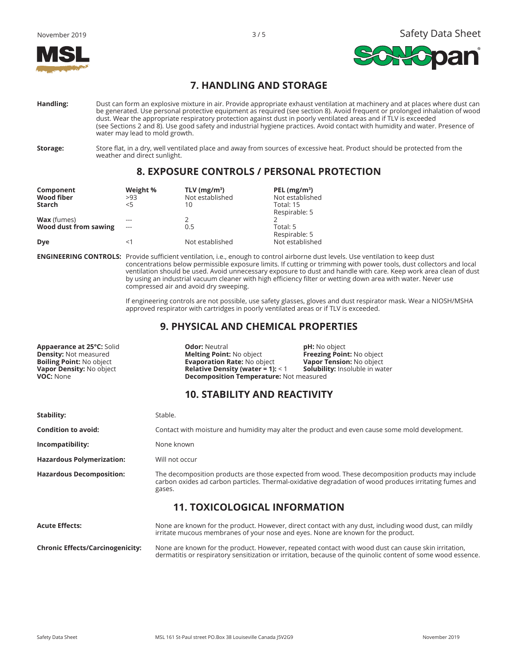



## **7. HANDLING AND STORAGE**

- **Handling:** Dust can form an explosive mixture in air. Provide appropriate exhaust ventilation at machinery and at places where dust can be generated. Use personal protective equipment as required (see section 8). Avoid frequent or prolonged inhalation of wood dust. Wear the appropriate respiratory protection against dust in poorly ventilated areas and if TLV is exceeded (see Sections 2 and 8). Use good safety and industrial hygiene practices. Avoid contact with humidity and water. Presence of water may lead to mold growth.
- 

**Storage:** Store flat, in a dry, well ventilated place and away from sources of excessive heat. Product should be protected from the weather and direct sunlight.

# **8. EXPOSURE CONTROLS / PERSONAL PROTECTION**

| Component<br>Wood fiber | Weight %<br>>93 | TLV ( $mg/m^3$ )<br>Not established | PEL $(mg/m3)$<br>Not established |
|-------------------------|-----------------|-------------------------------------|----------------------------------|
| Starch                  | $<$ 5           | 10                                  | Total: 15                        |
|                         |                 |                                     | Respirable: 5                    |
| <b>Wax</b> (fumes)      |                 |                                     |                                  |
| Wood dust from sawing   | $- - -$         | 0.5                                 | Total: 5                         |
|                         |                 |                                     | Respirable: 5                    |
| Dye                     | <1              | Not established                     | Not established                  |

**ENGINEERING CONTROLS:** Provide sufficient ventilation, i.e., enough to control airborne dust levels. Use ventilation to keep dust concentrations below permissible exposure limits. If cutting or trimming with power tools, dust collectors and local ventilation should be used. Avoid unnecessary exposure to dust and handle with care. Keep work area clean of dust by using an industrial vacuum cleaner with high efficiency filter or wetting down area with water. Never use compressed air and avoid dry sweeping.

> If engineering controls are not possible, use safety glasses, gloves and dust respirator mask. Wear a NIOSH/MSHA approved respirator with cartridges in poorly ventilated areas or if TLV is exceeded.

dermatitis or respiratory sensitization or irritation, because of the quinolic content of some wood essence.

### **9. PHYSICAL AND CHEMICAL PROPERTIES**

**Appaerance at 25°C:** Solid **Controlling Polity Controller and Phenomenon phisms phisms phimed phimed phimed phimed point: No object phimed point: No object phimed point: No object promotion promotion promotion promotion p Density:** Not measured **Melting Point: No object <b>Freezing Point:** No object **Boiling Point: No object Boiling Point: No object <b>Boiling Point:** No object **Boiling Point:** No object **Boiling Point:** No object **Boiling Poi Boiling Point:** No object **Evaporation Rate: No object Vapor Tension:** No object **Vapor Density: Insoluble in water**<br> **Relative Density (water = 1):** < 1 **Solubility:** Insoluble in water **Relative Density (water = 1): < 1 VOC:** None **Decomposition Temperature:** Not measured

## **10. STABILITY AND REACTIVITY**

| Stability:                              | Stable.                                                                                                                                                                                                               |
|-----------------------------------------|-----------------------------------------------------------------------------------------------------------------------------------------------------------------------------------------------------------------------|
| <b>Condition to avoid:</b>              | Contact with moisture and humidity may alter the product and even cause some mold development.                                                                                                                        |
| Incompatibility:                        | None known                                                                                                                                                                                                            |
| <b>Hazardous Polymerization:</b>        | Will not occur                                                                                                                                                                                                        |
| <b>Hazardous Decomposition:</b>         | The decomposition products are those expected from wood. These decomposition products may include<br>carbon oxides ad carbon particles. Thermal-oxidative degradation of wood produces irritating fumes and<br>gases. |
|                                         | <b>11. TOXICOLOGICAL INFORMATION</b>                                                                                                                                                                                  |
| <b>Acute Effects:</b>                   | None are known for the product. However, direct contact with any dust, including wood dust, can mildly<br>irritate mucous membranes of your nose and eyes. None are known for the product.                            |
| <b>Chronic Effects/Carcinogenicity:</b> | None are known for the product. However, repeated contact with wood dust can cause skin irritation,                                                                                                                   |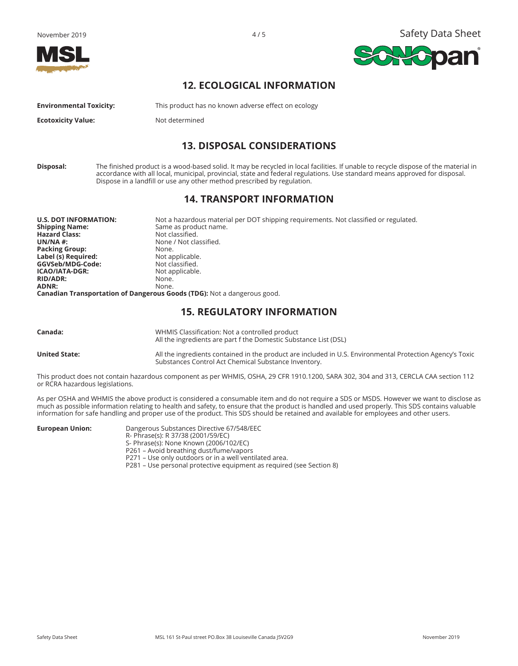





### **12. ECOLOGICAL INFORMATION**

**Environmental Toxicity:** This product has no known adverse effect on ecology

**Ecotoxicity Value:** Not determined

### **13. DISPOSAL CONSIDERATIONS**

**Disposal:** The finished product is a wood-based solid. It may be recycled in local facilities. If unable to recycle dispose of the material in accordance with all local, municipal, provincial, state and federal regulations. Use standard means approved for disposal. Dispose in a landfill or use any other method prescribed by regulation.

### **14. TRANSPORT INFORMATION**

| <b>U.S. DOT INFORMATION:</b> | Not a hazardous material per DOT shipping requirements. Not classified or regulated. |
|------------------------------|--------------------------------------------------------------------------------------|
| <b>Shipping Name:</b>        | Same as product name.                                                                |
| <b>Hazard Class:</b>         | Not classified.                                                                      |
| UN/NA $#$                    | None / Not classified.                                                               |
| <b>Packing Group:</b>        | None.                                                                                |
| Label (s) Required:          | Not applicable.                                                                      |
| GGVSeb/MDG-Code:             | Not classified.                                                                      |
| <b>ICAO/IATA-DGR:</b>        | Not applicable.                                                                      |
| <b>RID/ADR:</b>              | None.                                                                                |
| ADNR:                        | None.                                                                                |
|                              | <b>Canadian Transportation of Dangerous Goods (TDG):</b> Not a dangerous good.       |

### **15. REGULATORY INFORMATION**

| Canada:         | WHMIS Classification: Not a controlled product<br>All the ingredients are part f the Domestic Substance List (DSL)                                                |
|-----------------|-------------------------------------------------------------------------------------------------------------------------------------------------------------------|
| United State: l | All the ingredients contained in the product are included in U.S. Environmental Protection Agency's Toxic<br>Substances Control Act Chemical Substance Inventory. |

This product does not contain hazardous component as per WHMIS, OSHA, 29 CFR 1910.1200, SARA 302, 304 and 313, CERCLA CAA section 112 or RCRA hazardous legislations.

As per OSHA and WHMIS the above product is considered a consumable item and do not require a SDS or MSDS. However we want to disclose as much as possible information relating to health and safety, to ensure that the product is handled and used properly. This SDS contains valuable information for safe handling and proper use of the product. This SDS should be retained and available for employees and other users.

| Dangerous Substances Directive 67/548/EEC                            |
|----------------------------------------------------------------------|
| R- Phrase(s): R 37/38 (2001/59/EC)                                   |
| S- Phrase(s): None Known (2006/102/EC)                               |
| P261 - Avoid breathing dust/fume/vapors                              |
| P271 – Use only outdoors or in a well ventilated area.               |
| P281 – Use personal protective equipment as required (see Section 8) |
|                                                                      |